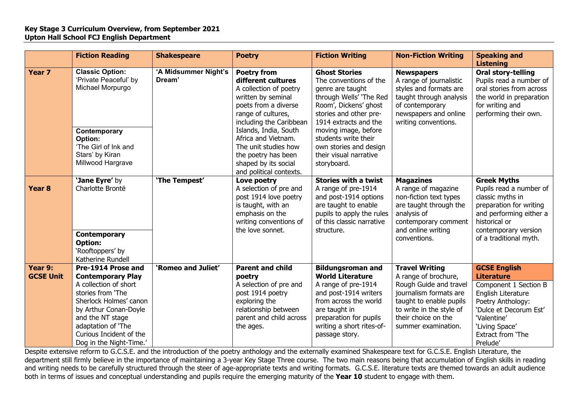## **Key Stage 3 Curriculum Overview, from September 2021 Upton Hall School FCJ English Department**

|                             | <b>Fiction Reading</b>                                                                                                                                                                                                                          | <b>Shakespeare</b>             | <b>Poetry</b>                                                                                                                                                                                                                                                                                                       | <b>Fiction Writing</b>                                                                                                                                                                                                                                                                       | <b>Non-Fiction Writing</b>                                                                                                                                                                             | <b>Speaking and</b><br><b>Listening</b>                                                                                                                                                                  |
|-----------------------------|-------------------------------------------------------------------------------------------------------------------------------------------------------------------------------------------------------------------------------------------------|--------------------------------|---------------------------------------------------------------------------------------------------------------------------------------------------------------------------------------------------------------------------------------------------------------------------------------------------------------------|----------------------------------------------------------------------------------------------------------------------------------------------------------------------------------------------------------------------------------------------------------------------------------------------|--------------------------------------------------------------------------------------------------------------------------------------------------------------------------------------------------------|----------------------------------------------------------------------------------------------------------------------------------------------------------------------------------------------------------|
| Year <sub>7</sub>           | <b>Classic Option:</b><br>'Private Peaceful' by<br>Michael Morpurgo<br>Contemporary<br>Option:<br>'The Girl of Ink and<br>Stars' by Kiran<br>Millwood Hargrave                                                                                  | 'A Midsummer Night's<br>Dream' | <b>Poetry from</b><br>different cultures<br>A collection of poetry<br>written by seminal<br>poets from a diverse<br>range of cultures,<br>including the Caribbean<br>Islands, India, South<br>Africa and Vietnam.<br>The unit studies how<br>the poetry has been<br>shaped by its social<br>and political contexts. | <b>Ghost Stories</b><br>The conventions of the<br>genre are taught<br>through Wells' 'The Red<br>Room', Dickens' ghost<br>stories and other pre-<br>1914 extracts and the<br>moving image, before<br>students write their<br>own stories and design<br>their visual narrative<br>storyboard. | <b>Newspapers</b><br>A range of journalistic<br>styles and formats are<br>taught through analysis<br>of contemporary<br>newspapers and online<br>writing conventions.                                  | Oral story-telling<br>Pupils read a number of<br>oral stories from across<br>the world in preparation<br>for writing and<br>performing their own.                                                        |
| Year <sub>8</sub>           | 'Jane Eyre' by<br>Charlotte Brontë<br>Contemporary<br><b>Option:</b><br>'Rooftoppers' by<br>Katherine Rundell                                                                                                                                   | 'The Tempest'                  | Love poetry<br>A selection of pre and<br>post 1914 love poetry<br>is taught, with an<br>emphasis on the<br>writing conventions of<br>the love sonnet.                                                                                                                                                               | <b>Stories with a twist</b><br>A range of pre-1914<br>and post-1914 options<br>are taught to enable<br>pupils to apply the rules<br>of this classic narrative<br>structure.                                                                                                                  | <b>Magazines</b><br>A range of magazine<br>non-fiction text types<br>are taught through the<br>analysis of<br>contemporary comment<br>and online writing<br>conventions.                               | <b>Greek Myths</b><br>Pupils read a number of<br>classic myths in<br>preparation for writing<br>and performing either a<br>historical or<br>contemporary version<br>of a traditional myth.               |
| Year 9:<br><b>GCSE Unit</b> | Pre-1914 Prose and<br><b>Contemporary Play</b><br>A collection of short<br>stories from 'The<br>Sherlock Holmes' canon<br>by Arthur Conan-Doyle<br>and the NT stage<br>adaptation of 'The<br>Curious Incident of the<br>Dog in the Night-Time.' | 'Romeo and Juliet'             | <b>Parent and child</b><br>poetry<br>A selection of pre and<br>post 1914 poetry<br>exploring the<br>relationship between<br>parent and child across<br>the ages.                                                                                                                                                    | <b>Bildungsroman and</b><br><b>World Literature</b><br>A range of pre-1914<br>and post-1914 writers<br>from across the world<br>are taught in<br>preparation for pupils<br>writing a short rites-of-<br>passage story.                                                                       | <b>Travel Writing</b><br>A range of brochure,<br>Rough Guide and travel<br>journalism formats are<br>taught to enable pupils<br>to write in the style of<br>their choice on the<br>summer examination. | <b>GCSE English</b><br><b>Literature</b><br>Component 1 Section B<br>English Literature<br>Poetry Anthology:<br>'Dulce et Decorum Est'<br>'Valentine'<br>'Living Space'<br>Extract from 'The<br>Prelude' |

Despite extensive reform to G.C.S.E. and the introduction of the poetry anthology and the externally examined Shakespeare text for G.C.S.E. English Literature, the department still firmly believe in the importance of maintaining a 3-year Key Stage Three course. The two main reasons being that accumulation of English skills in reading and writing needs to be carefully structured through the steer of age-appropriate texts and writing formats. G.C.S.E. literature texts are themed towards an adult audience both in terms of issues and conceptual understanding and pupils require the emerging maturity of the **Year 10** student to engage with them.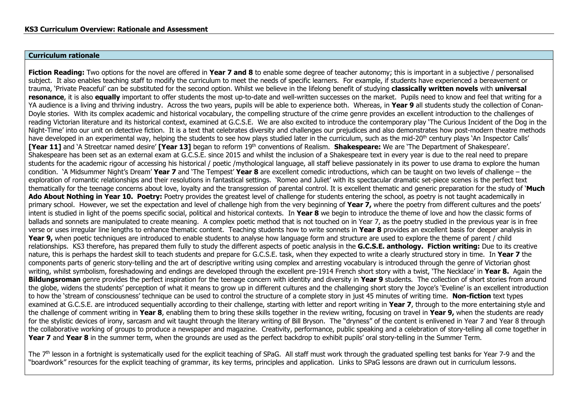## **Curriculum rationale**

**Fiction Reading:** Two options for the novel are offered in **Year 7 and 8** to enable some degree of teacher autonomy; this is important in a subjective / personalised subject. It also enables teaching staff to modify the curriculum to meet the needs of specific learners. For example, if students have experienced a bereavement or trauma, 'Private Peaceful' can be substituted for the second option. Whilst we believe in the lifelong benefit of studying **classically written novels** with **universal resonance**, it is also **equally** important to offer students the most up-to-date and well-written successes on the market. Pupils need to know and feel that writing for a YA audience is a living and thriving industry. Across the two years, pupils will be able to experience both. Whereas, in **Year 9** all students study the collection of Conan-Doyle stories. With its complex academic and historical vocabulary, the compelling structure of the crime genre provides an excellent introduction to the challenges of reading Victorian literature and its historical context, examined at G.C.S.E. We are also excited to introduce the contemporary play 'The Curious Incident of the Dog in the Night-Time' into our unit on detective fiction. It is a text that celebrates diversity and challenges our prejudices and also demonstrates how post-modern theatre methods have developed in an experimental way, helping the students to see how plays studied later in the curriculum, such as the mid-20<sup>th</sup> century plays 'An Inspector Calls' **[Year 11]** and 'A Streetcar named desire' **[Year 13]** began to reform 19th conventions of Realism. **Shakespeare:** We are 'The Department of Shakespeare'. Shakespeare has been set as an external exam at G.C.S.E. since 2015 and whilst the inclusion of a Shakespeare text in every year is due to the real need to prepare students for the academic rigour of accessing his historical / poetic /mythological language, all staff believe passionately in its power to use drama to explore the human condition. 'A Midsummer Night's Dream' **Year 7** and 'The Tempest' **Year 8** are excellent comedic introductions, which can be taught on two levels of challenge – the exploration of romantic relationships and their resolutions in fantastical settings. 'Romeo and Juliet' with its spectacular dramatic set-piece scenes is the perfect text thematically for the teenage concerns about love, loyalty and the transgression of parental control. It is excellent thematic and generic preparation for the study of '**Much**  Ado About Nothing in Year 10. Poetry: Poetry provides the greatest level of challenge for students entering the school, as poetry is not taught academically in primary school. However, we set the expectation and level of challenge high from the very beginning of **Year 7,** where the poetry from different cultures and the poets' intent is studied in light of the poems specific social, political and historical contexts. In **Year 8** we begin to introduce the theme of love and how the classic forms of ballads and sonnets are manipulated to create meaning. A complex poetic method that is not touched on in Year 7, as the poetry studied in the previous year is in free verse or uses irregular line lengths to enhance thematic content. Teaching students how to write sonnets in **Year 8** provides an excellent basis for deeper analysis in **Year 9,** when poetic techniques are introduced to enable students to analyse how language form and structure are used to explore the theme of parent / child relationships. KS3 therefore, has prepared them fully to study the different aspects of poetic analysis in the **G.C.S.E. anthology. Fiction writing:** Due to its creative nature, this is perhaps the hardest skill to teach students and prepare for G.C.S.E. task, when they expected to write a clearly structured story in time. In **Year 7** the components parts of generic story-telling and the art of descriptive writing using complex and arresting vocabulary is introduced through the genre of Victorian ghost writing, whilst symbolism, foreshadowing and endings are developed through the excellent pre-1914 French short story with a twist, 'The Necklace' in **Year 8.** Again the **Bildungsroman** genre provides the perfect inspiration for the teenage concern with identity and diversity in **Year 9** students. The collection of short stories from around the globe, widens the students' perception of what it means to grow up in different cultures and the challenging short story the Joyce's 'Eveline' is an excellent introduction to how the 'stream of consciousness' technique can be used to control the structure of a complete story in just 45 minutes of writing time. **Non-fiction** text types examined at G.C.S.E. are introduced sequentially according to their challenge, starting with letter and report writing in **Year 7**, through to the more entertaining style and the challenge of comment writing in **Year 8**, enabling them to bring these skills together in the review writing, focusing on travel in **Year 9,** when the students are ready for the stylistic devices of irony, sarcasm and wit taught through the literary writing of Bill Bryson. The "dryness" of the content is enlivened in Year 7 and Year 8 through the collaborative working of groups to produce a newspaper and magazine. Creativity, performance, public speaking and a celebration of story-telling all come together in **Year 7** and **Year 8** in the summer term, when the grounds are used as the perfect backdrop to exhibit pupils' oral story-telling in the Summer Term.

The 7<sup>th</sup> lesson in a fortnight is systematically used for the explicit teaching of SPaG. All staff must work through the graduated spelling test banks for Year 7-9 and the "boardwork" resources for the explicit teaching of grammar, its key terms, principles and application. Links to SPaG lessons are drawn out in curriculum lessons.